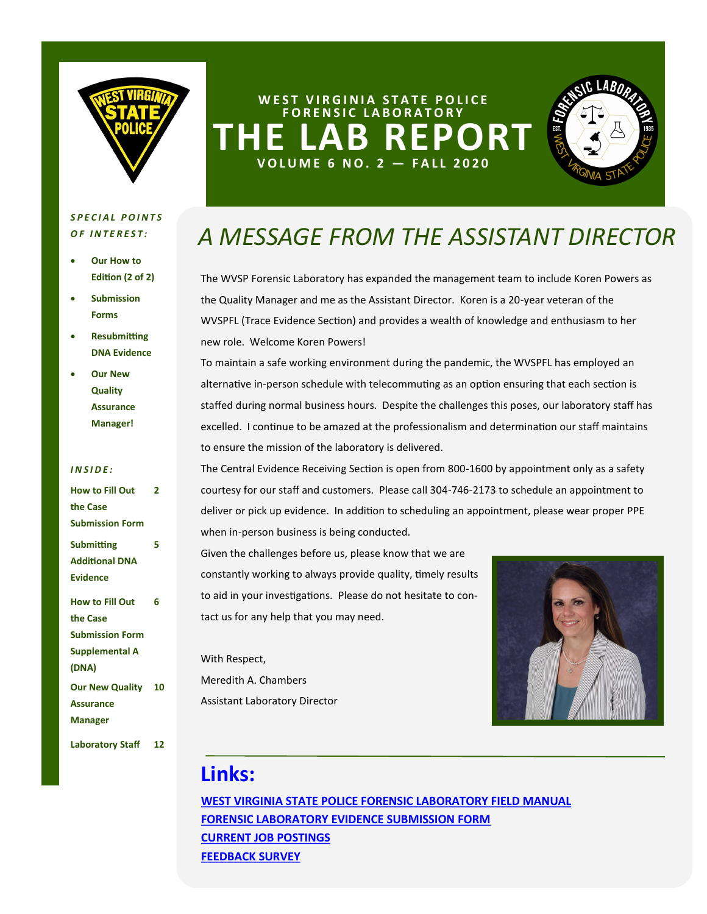

### **WEST VIRGINIA STATE POLICE F O R E N S I C L A B O R A T O R Y** EPORT **V O L U M E 6 N O . 2 — F A L L 2 0 2 0**



### *S P E C I A L P O I N T S <i>OF INTEREST:*

- **Our How to Edition (2 of 2)**
- **Submission Forms**
- **Resubmitting DNA Evidence**
- **Our New Quality Assurance Manager!**

### *I N S I D E :*

| <b>How to Fill Out</b>    | 2  |
|---------------------------|----|
| the Case                  |    |
| <b>Submission Form</b>    |    |
| <b>Submitting</b>         | 5  |
| <b>Additional DNA</b>     |    |
| <b>Evidence</b>           |    |
| <b>How to Fill Out</b>    | 6  |
| the Case                  |    |
| <b>Submission Form</b>    |    |
| <b>Supplemental A</b>     |    |
| (DNA)                     |    |
| <b>Our New Quality 10</b> |    |
| <b>Assurance</b>          |    |
| <b>Manager</b>            |    |
| <b>Laboratory Staff</b>   | 12 |

# *A MESSAGE FROM THE ASSISTANT DIRECTOR*

The WVSP Forensic Laboratory has expanded the management team to include Koren Powers as the Quality Manager and me as the Assistant Director. Koren is a 20-year veteran of the WVSPFL (Trace Evidence Section) and provides a wealth of knowledge and enthusiasm to her new role. Welcome Koren Powers!

To maintain a safe working environment during the pandemic, the WVSPFL has employed an alternative in-person schedule with telecommuting as an option ensuring that each section is staffed during normal business hours. Despite the challenges this poses, our laboratory staff has excelled. I continue to be amazed at the professionalism and determination our staff maintains to ensure the mission of the laboratory is delivered.

The Central Evidence Receiving Section is open from 800-1600 by appointment only as a safety courtesy for our staff and customers. Please call 304-746-2173 to schedule an appointment to deliver or pick up evidence. In addition to scheduling an appointment, please wear proper PPE when in-person business is being conducted.

Given the challenges before us, please know that we are constantly working to always provide quality, timely results to aid in your investigations. Please do not hesitate to contact us for any help that you may need.

With Respect, Meredith A. Chambers Assistant Laboratory Director



### **Links:**

**[WEST VIRGINIA STATE POLICE FORENSIC LABORATORY FIELD MANUAL](http://www.wvsp.gov/about/Documents/CrimeLab/LabManual062015.pdf) [FORENSIC LABORATORY EVIDENCE SUBMISSION FORM](http://www.wvsp.gov/about/Documents/CrimeLab/WVSP_53.pdf) [CURRENT JOB POSTINGS](http://www.wvsp.gov/employment/Pages/CrimeLabEmployment.aspx) [FEEDBACK SURVEY](https://www.wvsp.gov/about/Documents/CrimeLab/LabSurvey.pdf)**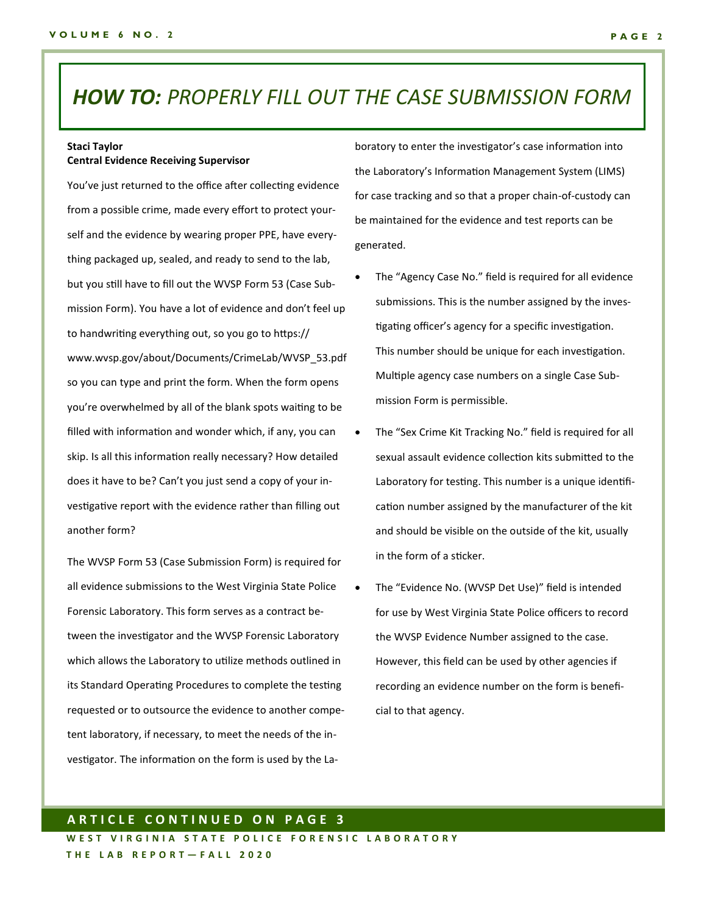### *HOW TO: PROPERLY FILL OUT THE CASE SUBMISSION FORM*

### **Staci Taylor Central Evidence Receiving Supervisor**

You've just returned to the office after collecting evidence from a possible crime, made every effort to protect yourself and the evidence by wearing proper PPE, have everything packaged up, sealed, and ready to send to the lab, but you still have to fill out the WVSP Form 53 (Case Submission Form). You have a lot of evidence and don't feel up to handwriting everything out, so you go to https:// www.wvsp.gov/about/Documents/CrimeLab/WVSP\_53.pdf so you can type and print the form. When the form opens you're overwhelmed by all of the blank spots waiting to be filled with information and wonder which, if any, you can skip. Is all this information really necessary? How detailed does it have to be? Can't you just send a copy of your investigative report with the evidence rather than filling out another form?

The WVSP Form 53 (Case Submission Form) is required for all evidence submissions to the West Virginia State Police Forensic Laboratory. This form serves as a contract between the investigator and the WVSP Forensic Laboratory which allows the Laboratory to utilize methods outlined in its Standard Operating Procedures to complete the testing requested or to outsource the evidence to another competent laboratory, if necessary, to meet the needs of the investigator. The information on the form is used by the Laboratory to enter the investigator's case information into the Laboratory's Information Management System (LIMS) for case tracking and so that a proper chain-of-custody can be maintained for the evidence and test reports can be generated.

- The "Agency Case No." field is required for all evidence submissions. This is the number assigned by the investigating officer's agency for a specific investigation. This number should be unique for each investigation. Multiple agency case numbers on a single Case Submission Form is permissible.
- The "Sex Crime Kit Tracking No." field is required for all sexual assault evidence collection kits submitted to the Laboratory for testing. This number is a unique identification number assigned by the manufacturer of the kit and should be visible on the outside of the kit, usually in the form of a sticker.
- The "Evidence No. (WVSP Det Use)" field is intended for use by West Virginia State Police officers to record the WVSP Evidence Number assigned to the case. However, this field can be used by other agencies if recording an evidence number on the form is beneficial to that agency.

### **A R T I C L E C O N T I N U E D O N P A G E 3**

WEST VIRGINIA STATE POLICE FORENSIC LABORATORY **T H E L A B R E P O R T — F A L L 2 0 2 0**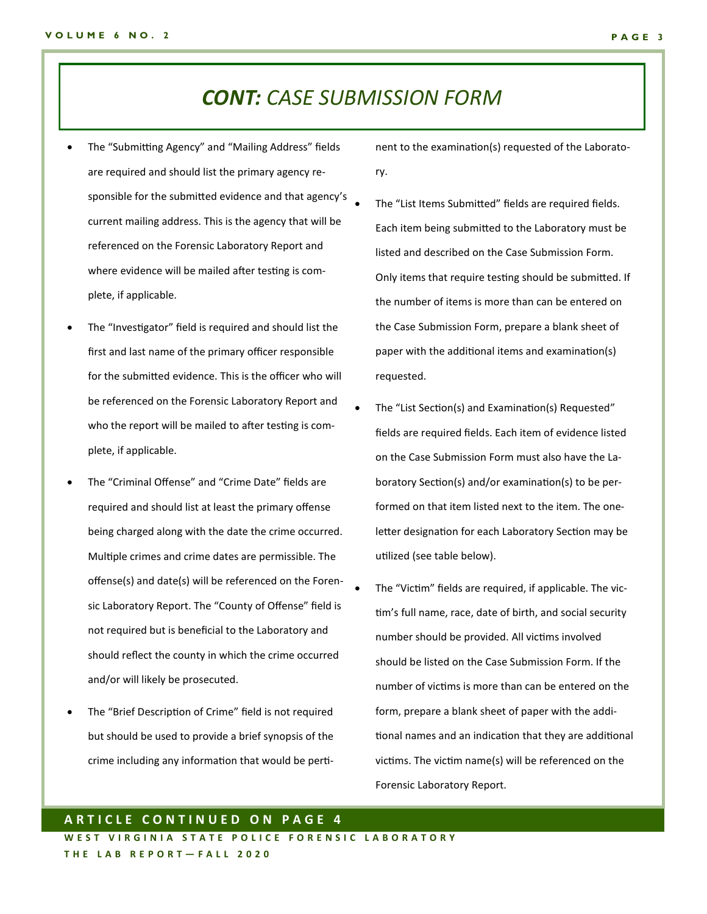### *CONT: CASE SUBMISSION FORM*

- The "Submitting Agency" and "Mailing Address" fields are required and should list the primary agency responsible for the submitted evidence and that agency's current mailing address. This is the agency that will be referenced on the Forensic Laboratory Report and where evidence will be mailed after testing is complete, if applicable.
- The "Investigator" field is required and should list the first and last name of the primary officer responsible for the submitted evidence. This is the officer who will be referenced on the Forensic Laboratory Report and who the report will be mailed to after testing is complete, if applicable.
- The "Criminal Offense" and "Crime Date" fields are required and should list at least the primary offense being charged along with the date the crime occurred. Multiple crimes and crime dates are permissible. The offense(s) and date(s) will be referenced on the Forensic Laboratory Report. The "County of Offense" field is not required but is beneficial to the Laboratory and should reflect the county in which the crime occurred and/or will likely be prosecuted.
- The "Brief Description of Crime" field is not required but should be used to provide a brief synopsis of the crime including any information that would be perti-

nent to the examination(s) requested of the Laboratory.

- The "List Items Submitted" fields are required fields. Each item being submitted to the Laboratory must be listed and described on the Case Submission Form. Only items that require testing should be submitted. If the number of items is more than can be entered on the Case Submission Form, prepare a blank sheet of paper with the additional items and examination(s) requested.
- The "List Section(s) and Examination(s) Requested" fields are required fields. Each item of evidence listed on the Case Submission Form must also have the Laboratory Section(s) and/or examination(s) to be performed on that item listed next to the item. The oneletter designation for each Laboratory Section may be utilized (see table below).
- The "Victim" fields are required, if applicable. The victim's full name, race, date of birth, and social security number should be provided. All victims involved should be listed on the Case Submission Form. If the number of victims is more than can be entered on the form, prepare a blank sheet of paper with the additional names and an indication that they are additional victims. The victim name(s) will be referenced on the Forensic Laboratory Report.

### **A R T I C L E C O N T I N U E D O N P A G E 4**

WEST VIRGINIA STATE POLICE FORENSIC LABORATORY **T H E L A B R E P O R T — F A L L 2 0 2 0**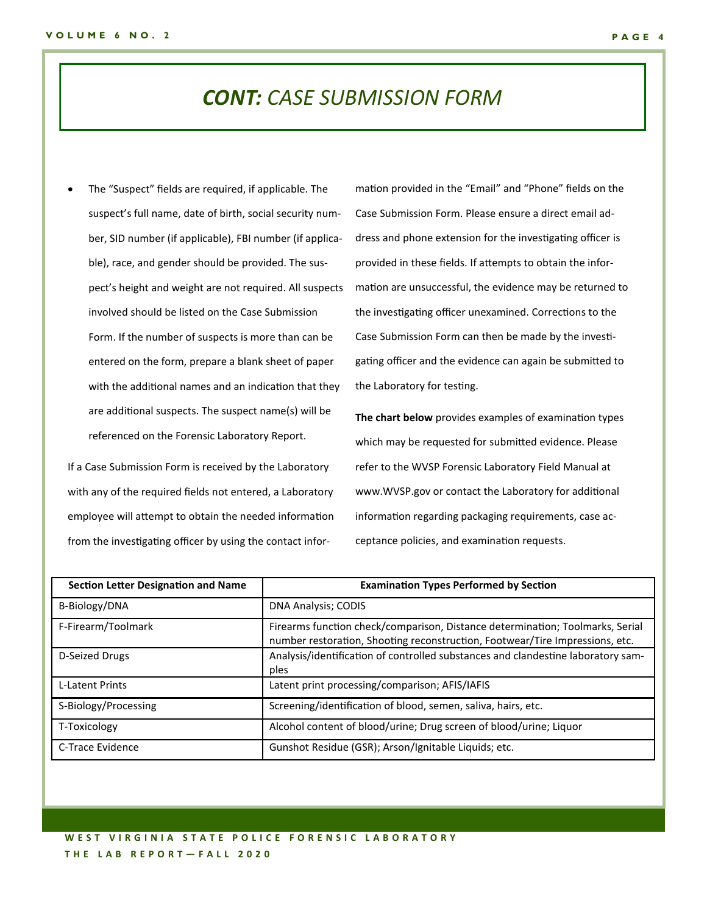### *CONT: CASE SUBMISSION FORM*

The "Suspect" fields are required, if applicable. The suspect's full name, date of birth, social security number, SID number (if applicable), FBI number (if applicable), race, and gender should be provided. The suspect's height and weight are not required. All suspects involved should be listed on the Case Submission Form. If the number of suspects is more than can be entered on the form, prepare a blank sheet of paper with the additional names and an indication that they are additional suspects. The suspect name(s) will be referenced on the Forensic Laboratory Report.

If a Case Submission Form is received by the Laboratory with any of the required fields not entered, a Laboratory employee will attempt to obtain the needed information from the investigating officer by using the contact infor-

mation provided in the "Email" and "Phone" fields on the Case Submission Form. Please ensure a direct email address and phone extension for the investigating officer is provided in these fields. If attempts to obtain the information are unsuccessful, the evidence may be returned to the investigating officer unexamined. Corrections to the Case Submission Form can then be made by the investigating officer and the evidence can again be submitted to the Laboratory for testing.

**The chart below** provides examples of examination types which may be requested for submitted evidence. Please refer to the WVSP Forensic Laboratory Field Manual at www.WVSP.gov or contact the Laboratory for additional information regarding packaging requirements, case acceptance policies, and examination requests.

| <b>Section Letter Designation and Name</b> | <b>Examination Types Performed by Section</b>                                                                                                                 |
|--------------------------------------------|---------------------------------------------------------------------------------------------------------------------------------------------------------------|
| B-Biology/DNA                              | DNA Analysis; CODIS                                                                                                                                           |
| F-Firearm/Toolmark                         | Firearms function check/comparison, Distance determination; Toolmarks, Serial<br>number restoration, Shooting reconstruction, Footwear/Tire Impressions, etc. |
| D-Seized Drugs                             | Analysis/identification of controlled substances and clandestine laboratory sam-<br>ples                                                                      |
| <b>L-Latent Prints</b>                     | Latent print processing/comparison; AFIS/IAFIS                                                                                                                |
| S-Biology/Processing                       | Screening/identification of blood, semen, saliva, hairs, etc.                                                                                                 |
| T-Toxicology                               | Alcohol content of blood/urine; Drug screen of blood/urine; Liquor                                                                                            |
| C-Trace Evidence                           | Gunshot Residue (GSR); Arson/Ignitable Liquids; etc.                                                                                                          |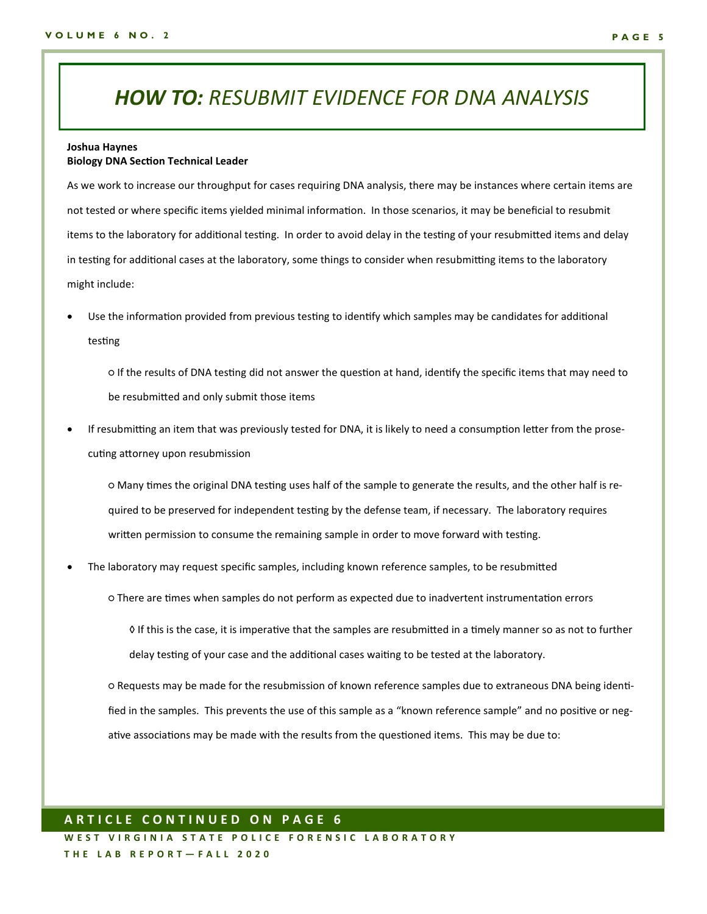### *HOW TO: RESUBMIT EVIDENCE FOR DNA ANALYSIS*

#### **Joshua Haynes Biology DNA Section Technical Leader**

As we work to increase our throughput for cases requiring DNA analysis, there may be instances where certain items are not tested or where specific items yielded minimal information. In those scenarios, it may be beneficial to resubmit items to the laboratory for additional testing. In order to avoid delay in the testing of your resubmitted items and delay in testing for additional cases at the laboratory, some things to consider when resubmitting items to the laboratory might include:

• Use the information provided from previous testing to identify which samples may be candidates for additional testing

○ If the results of DNA testing did not answer the question at hand, identify the specific items that may need to be resubmitted and only submit those items

• If resubmitting an item that was previously tested for DNA, it is likely to need a consumption letter from the prosecuting attorney upon resubmission

○ Many times the original DNA testing uses half of the sample to generate the results, and the other half is required to be preserved for independent testing by the defense team, if necessary. The laboratory requires written permission to consume the remaining sample in order to move forward with testing.

• The laboratory may request specific samples, including known reference samples, to be resubmitted

○ There are times when samples do not perform as expected due to inadvertent instrumentation errors

◊ If this is the case, it is imperative that the samples are resubmitted in a timely manner so as not to further delay testing of your case and the additional cases waiting to be tested at the laboratory.

○ Requests may be made for the resubmission of known reference samples due to extraneous DNA being identified in the samples. This prevents the use of this sample as a "known reference sample" and no positive or negative associations may be made with the results from the questioned items. This may be due to:

### **A R T I C L E C O N T I N U E D O N P A G E 6**

WEST VIRGINIA STATE POLICE FORENSIC LABORATORY **T H E L A B R E P O R T — F A L L 2 0 2 0**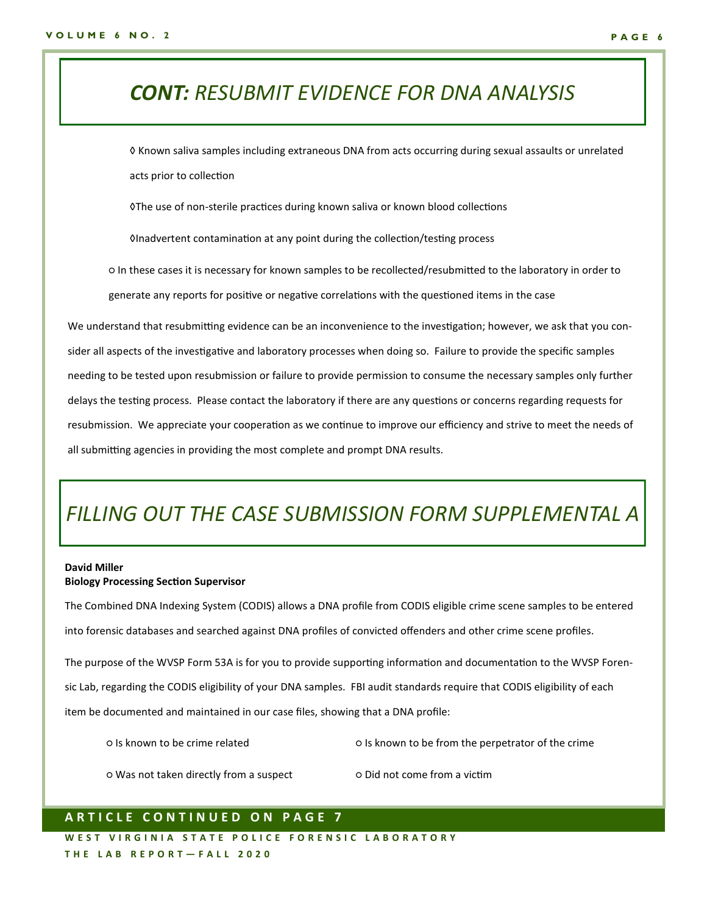## *CONT: RESUBMIT EVIDENCE FOR DNA ANALYSIS*

◊ Known saliva samples including extraneous DNA from acts occurring during sexual assaults or unrelated acts prior to collection

◊The use of non-sterile practices during known saliva or known blood collections

◊Inadvertent contamination at any point during the collection/testing process

○ In these cases it is necessary for known samples to be recollected/resubmitted to the laboratory in order to generate any reports for positive or negative correlations with the questioned items in the case

We understand that resubmitting evidence can be an inconvenience to the investigation; however, we ask that you consider all aspects of the investigative and laboratory processes when doing so. Failure to provide the specific samples needing to be tested upon resubmission or failure to provide permission to consume the necessary samples only further delays the testing process. Please contact the laboratory if there are any questions or concerns regarding requests for resubmission. We appreciate your cooperation as we continue to improve our efficiency and strive to meet the needs of all submitting agencies in providing the most complete and prompt DNA results.

## *FILLING OUT THE CASE SUBMISSION FORM SUPPLEMENTAL A*

#### **David Miller Biology Processing Section Supervisor**

The Combined DNA Indexing System (CODIS) allows a DNA profile from CODIS eligible crime scene samples to be entered into forensic databases and searched against DNA profiles of convicted offenders and other crime scene profiles.

The purpose of the WVSP Form 53A is for you to provide supporting information and documentation to the WVSP Forensic Lab, regarding the CODIS eligibility of your DNA samples. FBI audit standards require that CODIS eligibility of each item be documented and maintained in our case files, showing that a DNA profile:

- 
- Is known to be crime related Is known to be from the perpetrator of the crime
- Was not taken directly from a suspect Did not come from a victim
- 

### **A R T I C L E C O N T I N U E D O N P A G E 7**

W E ST VIRGINIA STATE POLICE FORENSIC LABORATORY **T H E L A B R E P O R T — F A L L 2 0 2 0**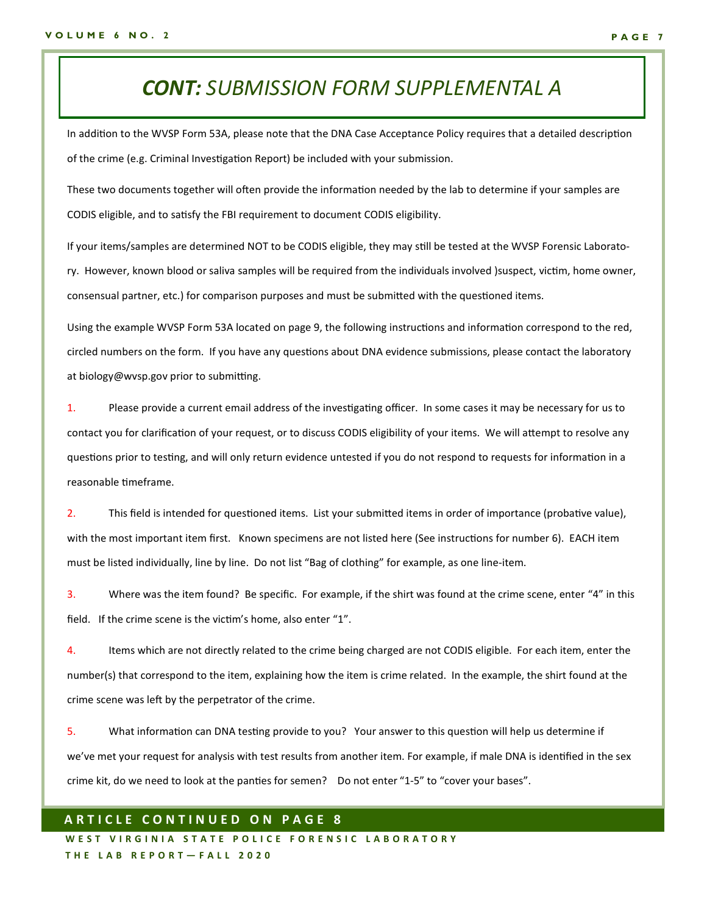### *CONT: SUBMISSION FORM SUPPLEMENTAL A*

In addition to the WVSP Form 53A, please note that the DNA Case Acceptance Policy requires that a detailed description of the crime (e.g. Criminal Investigation Report) be included with your submission.

These two documents together will often provide the information needed by the lab to determine if your samples are CODIS eligible, and to satisfy the FBI requirement to document CODIS eligibility.

If your items/samples are determined NOT to be CODIS eligible, they may still be tested at the WVSP Forensic Laboratory. However, known blood or saliva samples will be required from the individuals involved )suspect, victim, home owner, consensual partner, etc.) for comparison purposes and must be submitted with the questioned items.

Using the example WVSP Form 53A located on page 9, the following instructions and information correspond to the red, circled numbers on the form. If you have any questions about DNA evidence submissions, please contact the laboratory at biology@wvsp.gov prior to submitting.

1. Please provide a current email address of the investigating officer. In some cases it may be necessary for us to contact you for clarification of your request, or to discuss CODIS eligibility of your items. We will attempt to resolve any questions prior to testing, and will only return evidence untested if you do not respond to requests for information in a reasonable timeframe.

2. This field is intended for questioned items. List your submitted items in order of importance (probative value), with the most important item first. Known specimens are not listed here (See instructions for number 6). EACH item must be listed individually, line by line. Do not list "Bag of clothing" for example, as one line-item.

3. Where was the item found? Be specific. For example, if the shirt was found at the crime scene, enter "4" in this field. If the crime scene is the victim's home, also enter "1".

4. Items which are not directly related to the crime being charged are not CODIS eligible. For each item, enter the number(s) that correspond to the item, explaining how the item is crime related. In the example, the shirt found at the crime scene was left by the perpetrator of the crime.

5. What information can DNA testing provide to you? Your answer to this question will help us determine if we've met your request for analysis with test results from another item. For example, if male DNA is identified in the sex crime kit, do we need to look at the panties for semen? Do not enter "1-5" to "cover your bases".

### **A R T I C L E C O N T I N U E D O N P A G E 8**

W E ST VIRGINIA STATE POLICE FORENSIC LABORATORY **T H E L A B R E P O R T — F A L L 2 0 2 0**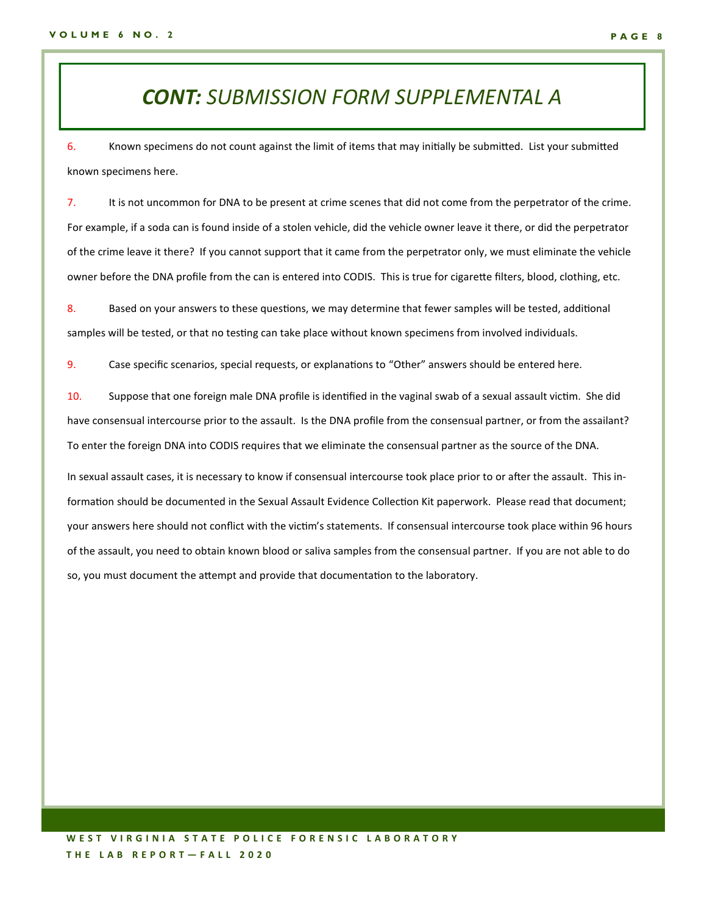### *CONT: SUBMISSION FORM SUPPLEMENTAL A*

6. Known specimens do not count against the limit of items that may initially be submitted. List your submitted known specimens here.

7. It is not uncommon for DNA to be present at crime scenes that did not come from the perpetrator of the crime. For example, if a soda can is found inside of a stolen vehicle, did the vehicle owner leave it there, or did the perpetrator of the crime leave it there? If you cannot support that it came from the perpetrator only, we must eliminate the vehicle owner before the DNA profile from the can is entered into CODIS. This is true for cigarette filters, blood, clothing, etc.

8. Based on your answers to these questions, we may determine that fewer samples will be tested, additional samples will be tested, or that no testing can take place without known specimens from involved individuals.

9. Case specific scenarios, special requests, or explanations to "Other" answers should be entered here.

10. Suppose that one foreign male DNA profile is identified in the vaginal swab of a sexual assault victim. She did have consensual intercourse prior to the assault. Is the DNA profile from the consensual partner, or from the assailant? To enter the foreign DNA into CODIS requires that we eliminate the consensual partner as the source of the DNA.

In sexual assault cases, it is necessary to know if consensual intercourse took place prior to or after the assault. This information should be documented in the Sexual Assault Evidence Collection Kit paperwork. Please read that document; your answers here should not conflict with the victim's statements. If consensual intercourse took place within 96 hours of the assault, you need to obtain known blood or saliva samples from the consensual partner. If you are not able to do so, you must document the attempt and provide that documentation to the laboratory.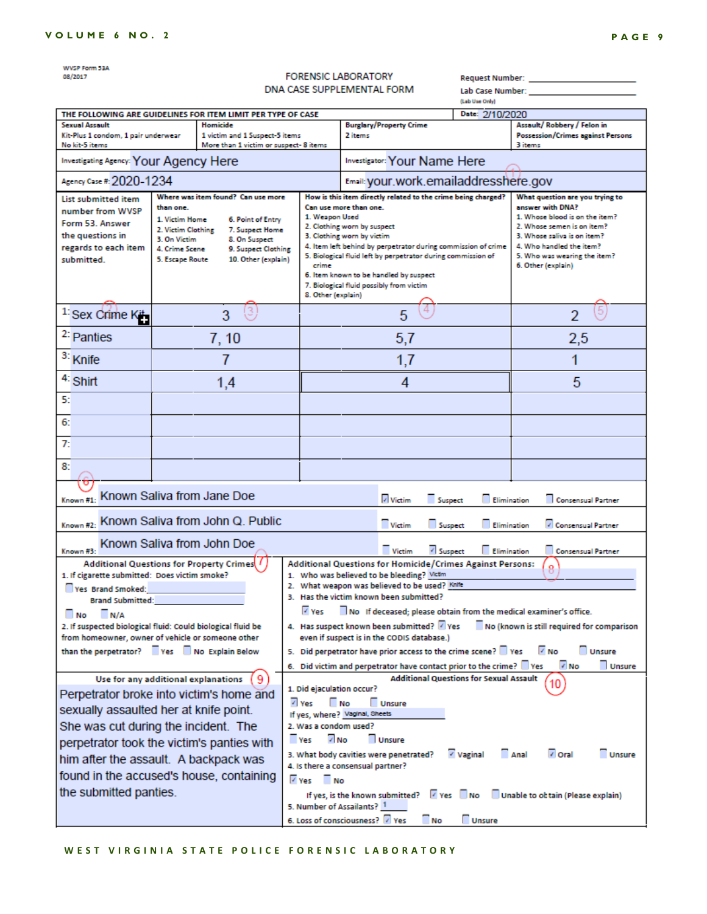| WVSP Form 53A                                                                                                                                                        |                                                                                      |                                                                         |                                               |                                                                                                                               |                                 |                                                          |  |
|----------------------------------------------------------------------------------------------------------------------------------------------------------------------|--------------------------------------------------------------------------------------|-------------------------------------------------------------------------|-----------------------------------------------|-------------------------------------------------------------------------------------------------------------------------------|---------------------------------|----------------------------------------------------------|--|
| 08/2017                                                                                                                                                              | <b>FORENSIC LABORATORY</b><br>Request Number: <b>Section</b>                         |                                                                         |                                               |                                                                                                                               |                                 |                                                          |  |
| DNA CASE SUPPLEMENTAL FORM                                                                                                                                           |                                                                                      |                                                                         | (Lab Use Only)                                | Lab Case Number:                                                                                                              |                                 |                                                          |  |
| THE FOLLOWING ARE GUIDELINES FOR ITEM LIMIT PER TYPE OF CASE                                                                                                         |                                                                                      |                                                                         |                                               |                                                                                                                               | Date: 2/10/2020                 |                                                          |  |
| <b>Sexual Assault</b>                                                                                                                                                |                                                                                      | Homicide                                                                |                                               | <b>Burglary/Property Crime</b>                                                                                                |                                 | Assault/Robbery / Felon in                               |  |
| Kit-Plus 1 condom, 1 pair underwear<br>No kit-5 items                                                                                                                |                                                                                      | 1 victim and 1 Suspect-5 items<br>More than 1 victim or suspect-8 items |                                               | 2 items                                                                                                                       |                                 | <b>Possession/Crimes against Persons</b><br>3 items      |  |
| <b>Investigating Agency: Your Agency Here</b>                                                                                                                        |                                                                                      |                                                                         |                                               | <b>Investigator: Your Name Here</b>                                                                                           |                                 |                                                          |  |
| Agency Case #: 2020-1234                                                                                                                                             |                                                                                      |                                                                         | Email: your.work.emailaddresshere.gov         |                                                                                                                               |                                 |                                                          |  |
| Where was item found? Can use more<br><b>List submitted item</b>                                                                                                     |                                                                                      |                                                                         |                                               | How is this item directly related to the crime being charged?                                                                 | What question are you trying to |                                                          |  |
| number from WVSP                                                                                                                                                     | than one.                                                                            |                                                                         | Can use more than one.                        |                                                                                                                               |                                 | answer with DNA?<br>1. Whose blood is on the item?       |  |
| Form 53, Answer                                                                                                                                                      | 1. Victim Home<br>2. Victim Clothine                                                 | 6. Point of Entry<br>7. Suspect Home                                    | 1. Weapon Used<br>2. Clothing worn by suspect |                                                                                                                               |                                 | 2. Whose semen is on item?                               |  |
| the questions in                                                                                                                                                     | 3. On Victim                                                                         | 8. On Suspect                                                           |                                               | 3. Clothing worn by victim                                                                                                    | 3. Whose saliva is on item?     |                                                          |  |
| regards to each item                                                                                                                                                 | 4. Crime Scene                                                                       | 9. Suspect Clothing                                                     |                                               | 4. Item left behind by perpetrator during commission of crime<br>5. Biological fluid left by perpetrator during commission of |                                 | 4. Who handled the item?<br>5. Who was wearing the item? |  |
| submitted.                                                                                                                                                           | 5. Escape Route                                                                      | 10. Other (explain)                                                     | crime                                         |                                                                                                                               |                                 | 6. Other (explain)                                       |  |
|                                                                                                                                                                      |                                                                                      |                                                                         | 8. Other (explain)                            | 6. Item known to be handled by suspect<br>7. Biological fluid possibly from victim                                            |                                 |                                                          |  |
|                                                                                                                                                                      |                                                                                      |                                                                         |                                               |                                                                                                                               |                                 |                                                          |  |
| <sup>1:</sup> Sex Crime Kit                                                                                                                                          |                                                                                      | 3                                                                       |                                               | 5                                                                                                                             |                                 | $\overline{\mathcal{L}}$                                 |  |
| <sup>2:</sup> Panties                                                                                                                                                |                                                                                      | 7, 10                                                                   |                                               | 5,7                                                                                                                           |                                 | 2,5                                                      |  |
| <sup>3:</sup> Knife                                                                                                                                                  |                                                                                      |                                                                         |                                               | 1,7                                                                                                                           |                                 | 1                                                        |  |
| 4: Shirt                                                                                                                                                             |                                                                                      | 1.4                                                                     | 4                                             |                                                                                                                               |                                 | 5                                                        |  |
| 5:                                                                                                                                                                   |                                                                                      |                                                                         |                                               |                                                                                                                               |                                 |                                                          |  |
| 6:                                                                                                                                                                   |                                                                                      |                                                                         |                                               |                                                                                                                               |                                 |                                                          |  |
| 7:                                                                                                                                                                   |                                                                                      |                                                                         |                                               |                                                                                                                               |                                 |                                                          |  |
| 8:                                                                                                                                                                   |                                                                                      |                                                                         |                                               |                                                                                                                               |                                 |                                                          |  |
|                                                                                                                                                                      |                                                                                      | Known Saliva from Jane Doe                                              |                                               |                                                                                                                               |                                 |                                                          |  |
| Known #1:                                                                                                                                                            |                                                                                      |                                                                         |                                               | Victim<br>Suspect                                                                                                             |                                 | Elimination<br>Consensual Partner                        |  |
| Known #2: Known Saliva from John Q. Public                                                                                                                           |                                                                                      |                                                                         |                                               | Victim<br>Suspect                                                                                                             | Elimination                     | Consensual Partner                                       |  |
| Known #3:                                                                                                                                                            |                                                                                      | Known Saliva from John Doe                                              |                                               | V Suspect<br><b>Victim</b>                                                                                                    | Elimination                     | Consensual Partner                                       |  |
| Additional Questions for Property Crimes /                                                                                                                           |                                                                                      |                                                                         |                                               | <b>Additional Questions for Homicide/Crimes Against Persons:</b>                                                              |                                 | 8                                                        |  |
| 1. If cigarette submitted: Does victim smoke?                                                                                                                        |                                                                                      |                                                                         |                                               | 1. Who was believed to be bleeding? Victim<br>2. What weapon was believed to be used? Knife                                   |                                 |                                                          |  |
| Yes Brand Smoked:<br><b>Brand Submitted:</b>                                                                                                                         |                                                                                      |                                                                         |                                               | 3. Has the victim known been submitted?                                                                                       |                                 |                                                          |  |
| N/A<br>No.                                                                                                                                                           |                                                                                      |                                                                         | V Yes                                         | No If deceased; please obtain from the medical examiner's office.                                                             |                                 |                                                          |  |
| 4. Has suspect known been submitted? Ves<br>No (known is still required for comparison<br>2. If suspected biological fluid: Could biological fluid be                |                                                                                      |                                                                         |                                               |                                                                                                                               |                                 |                                                          |  |
| from homeowner, owner of vehicle or someone other<br>even if suspect is in the CODIS database.)                                                                      |                                                                                      |                                                                         |                                               |                                                                                                                               |                                 |                                                          |  |
| than the perpetrator? Ves No Explain Below<br>5. Did perpetrator have prior access to the crime scene? Ves<br>V No                                                   |                                                                                      |                                                                         |                                               |                                                                                                                               |                                 | Unsure                                                   |  |
|                                                                                                                                                                      | V No<br>Unsure<br>6. Did victim and perpetrator have contact prior to the crime? Ves |                                                                         |                                               |                                                                                                                               |                                 |                                                          |  |
| Use for any additional explanations                                                                                                                                  |                                                                                      |                                                                         |                                               | <b>Additional Questions for Sexual Assault</b><br>1. Did ejaculation occur?                                                   |                                 |                                                          |  |
| Perpetrator broke into victim's home and                                                                                                                             |                                                                                      |                                                                         | <b>No</b><br>/ Yes<br>$\Box$ Unsure           |                                                                                                                               |                                 |                                                          |  |
| sexually assaulted her at knife point.                                                                                                                               |                                                                                      |                                                                         |                                               | If yes, where? Vaginal, Sheets                                                                                                |                                 |                                                          |  |
| 2. Was a condom used?<br>She was cut during the incident. The                                                                                                        |                                                                                      |                                                                         |                                               |                                                                                                                               |                                 |                                                          |  |
| 7 No<br><b>Ves</b><br>Unsure<br>perpetrator took the victim's panties with                                                                                           |                                                                                      |                                                                         |                                               |                                                                                                                               |                                 |                                                          |  |
| v oral<br>Vaginal<br>3. What body cavities were penetrated?<br>Anal<br>him after the assault. A backpack was                                                         |                                                                                      |                                                                         |                                               |                                                                                                                               |                                 | <b>Unsure</b>                                            |  |
| 4. Is there a consensual partner?<br>found in the accused's house, containing<br>$\sqrt{y}$ Yes $\sqrt{y}$ No                                                        |                                                                                      |                                                                         |                                               |                                                                                                                               |                                 |                                                          |  |
| the submitted panties.<br>If yes, is the known submitted? $\boxed{\phantom{a}}$ Yes $\boxed{\phantom{a}}$ No $\boxed{\phantom{a}}$ Unable to obtain (Please explain) |                                                                                      |                                                                         |                                               |                                                                                                                               |                                 |                                                          |  |
|                                                                                                                                                                      | 5. Number of Assailants? 1<br>6. Loss of consciousness? 7 Yes<br><b>No</b>           |                                                                         |                                               |                                                                                                                               |                                 |                                                          |  |
|                                                                                                                                                                      |                                                                                      |                                                                         |                                               |                                                                                                                               | <b>Unsure</b>                   |                                                          |  |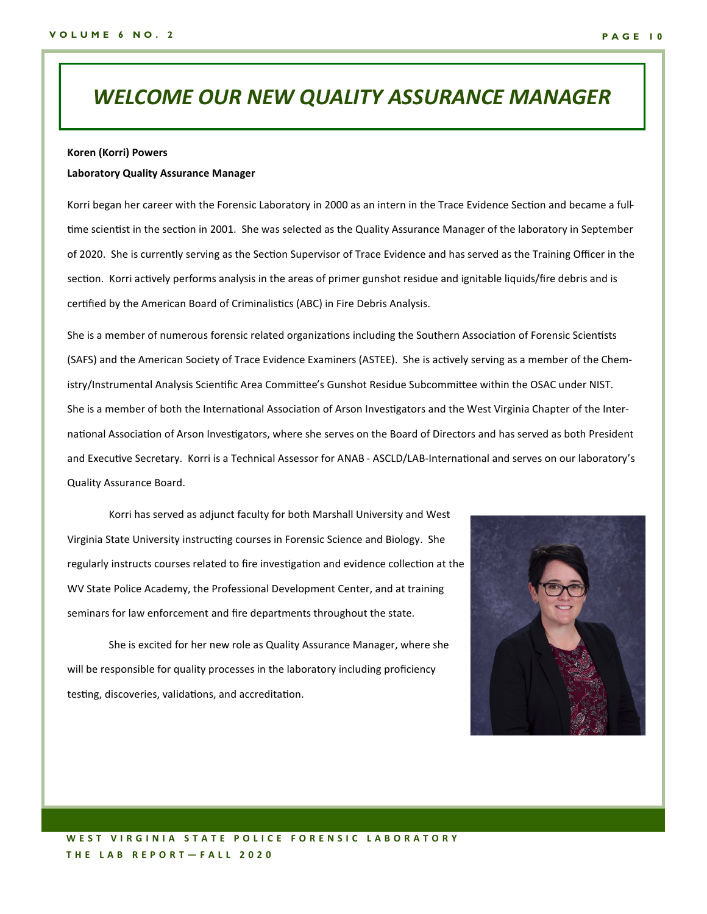### *WELCOME OUR NEW QUALITY ASSURANCE MANAGER*

#### **Koren (Korri) Powers**

#### **Laboratory Quality Assurance Manager**

Korri began her career with the Forensic Laboratory in 2000 as an intern in the Trace Evidence Section and became a fulltime scientist in the section in 2001. She was selected as the Quality Assurance Manager of the laboratory in September of 2020. She is currently serving as the Section Supervisor of Trace Evidence and has served as the Training Officer in the section. Korri actively performs analysis in the areas of primer gunshot residue and ignitable liquids/fire debris and is certified by the American Board of Criminalistics (ABC) in Fire Debris Analysis.

She is a member of numerous forensic related organizations including the Southern Association of Forensic Scientists (SAFS) and the American Society of Trace Evidence Examiners (ASTEE). She is actively serving as a member of the Chemistry/Instrumental Analysis Scientific Area Committee's Gunshot Residue Subcommittee within the OSAC under NIST. She is a member of both the International Association of Arson Investigators and the West Virginia Chapter of the International Association of Arson Investigators, where she serves on the Board of Directors and has served as both President and Executive Secretary. Korri is a Technical Assessor for ANAB - ASCLD/LAB-International and serves on our laboratory's Quality Assurance Board.

Korri has served as adjunct faculty for both Marshall University and West Virginia State University instructing courses in Forensic Science and Biology. She regularly instructs courses related to fire investigation and evidence collection at the WV State Police Academy, the Professional Development Center, and at training seminars for law enforcement and fire departments throughout the state.

She is excited for her new role as Quality Assurance Manager, where she will be responsible for quality processes in the laboratory including proficiency testing, discoveries, validations, and accreditation.

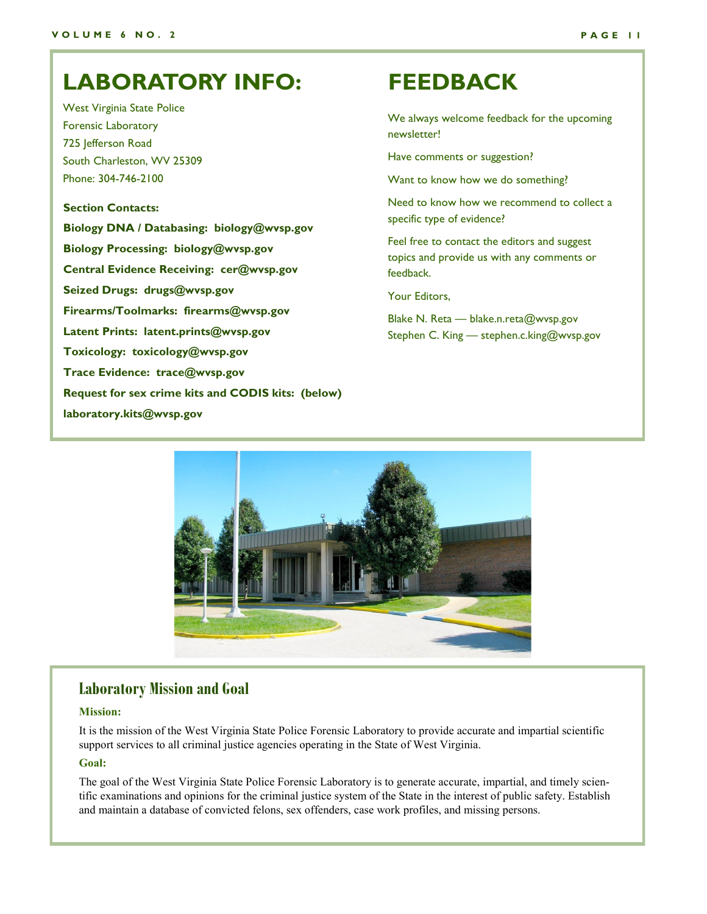## **LABORATORY INFO: FEEDBACK**

West Virginia State Police Forensic Laboratory 725 Jefferson Road South Charleston, WV 25309 Phone: 304-746-2100

### **Section Contacts:**

**Biology DNA / Databasing: biology@wvsp.gov Biology Processing: biology@wvsp.gov Central Evidence Receiving: cer@wvsp.gov Seized Drugs: drugs@wvsp.gov Firearms/Toolmarks: firearms@wvsp.gov Latent Prints: latent.prints@wvsp.gov Toxicology: toxicology@wvsp.gov Trace Evidence: trace@wvsp.gov Request for sex crime kits and CODIS kits: (below) laboratory.kits@wvsp.gov**

We always welcome feedback for the upcoming newsletter!

Have comments or suggestion?

Want to know how we do something?

Need to know how we recommend to collect a specific type of evidence?

Feel free to contact the editors and suggest topics and provide us with any comments or feedback.

Your Editors,

Blake N. Reta — blake.n.reta@wvsp.gov Stephen C. King — stephen.c.king@wvsp.gov



### **Laboratory Mission and Goal**

#### **Mission:**

It is the mission of the West Virginia State Police Forensic Laboratory to provide accurate and impartial scientific support services to all criminal justice agencies operating in the State of West Virginia.

### **Goal:**

The goal of the West Virginia State Police Forensic Laboratory is to generate accurate, impartial, and timely scientific examinations and opinions for the criminal justice system of the State in the interest of public safety. Establish and maintain a database of convicted felons, sex offenders, case work profiles, and missing persons.